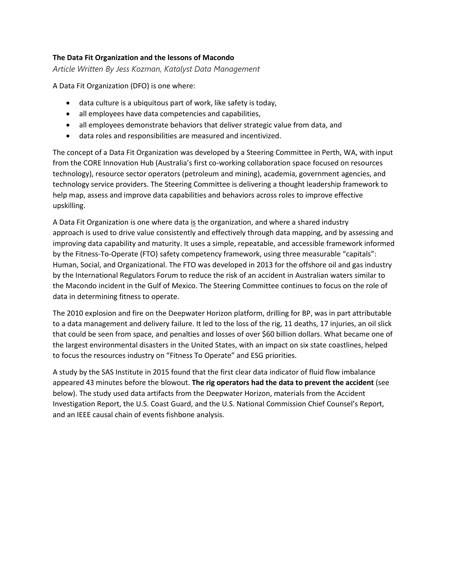## **The Data Fit Organization and the lessons of Macondo**

*Article Written By Jess Kozman, Katalyst Data Management*

A Data Fit Organization (DFO) is one where:

- data culture is a ubiquitous part of work, like safety is today,
- all employees have data competencies and capabilities,
- all employees demonstrate behaviors that deliver strategic value from data, and
- data roles and responsibilities are measured and incentivized.

The concept of a Data Fit Organization was developed by a Steering Committee in Perth, WA, with input from the CORE Innovation Hub (Australia's first co-working collaboration space focused on resources technology), resource sector operators (petroleum and mining), academia, government agencies, and technology service providers. The Steering Committee is delivering a thought leadership framework to help map, assess and improve data capabilities and behaviors across roles to improve effective upskilling.

A Data Fit Organization is one where data is the organization, and where a shared industry approach is used to drive value consistently and effectively through data mapping, and by assessing and improving data capability and maturity. It uses a simple, repeatable, and accessible framework informed by the Fitness-To-Operate (FTO) safety competency framework, using three measurable "capitals": Human, Social, and Organizational. The FTO was developed in 2013 for the offshore oil and gas industry by the International Regulators Forum to reduce the risk of an accident in Australian waters similar to the Macondo incident in the Gulf of Mexico. The Steering Committee continues to focus on the role of data in determining fitness to operate.

The 2010 explosion and fire on the Deepwater Horizon platform, drilling for BP, was in part attributable to a data management and delivery failure. It led to the loss of the rig, 11 deaths, 17 injuries, an oil slick that could be seen from space, and penalties and losses of over \$60 billion dollars. What became one of the largest environmental disasters in the United States, with an impact on six state coastlines, helped to focus the resources industry on "Fitness To Operate" and ESG priorities.

A study by the SAS Institute in 2015 found that the first clear data indicator of fluid flow imbalance appeared 43 minutes before the blowout. **The rig operators had the data to prevent the accident** (see below). The study used data artifacts from the Deepwater Horizon, materials from the Accident Investigation Report, the U.S. Coast Guard, and the U.S. National Commission Chief Counsel's Report, and an IEEE causal chain of events fishbone analysis.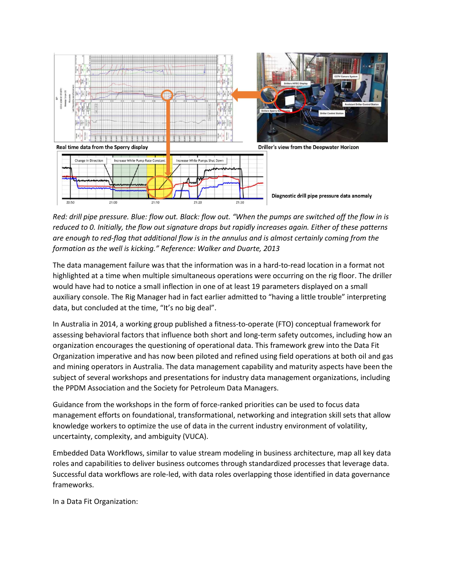

*Red: drill pipe pressure. Blue: flow out. Black: flow out. "When the pumps are switched off the flow in is reduced to 0. Initially, the flow out signature drops but rapidly increases again. Either of these patterns are enough to red-flag that additional flow is in the annulus and is almost certainly coming from the formation as the well is kicking." Reference: Walker and Duarte, 2013*

The data management failure was that the information was in a hard-to-read location in a format not highlighted at a time when multiple simultaneous operations were occurring on the rig floor. The driller would have had to notice a small inflection in one of at least 19 parameters displayed on a small auxiliary console. The Rig Manager had in fact earlier admitted to "having a little trouble" interpreting data, but concluded at the time, "It's no big deal".

In Australia in 2014, a working group published a fitness-to-operate (FTO) conceptual framework for assessing behavioral factors that influence both short and long-term safety outcomes, including how an organization encourages the questioning of operational data. This framework grew into the Data Fit Organization imperative and has now been piloted and refined using field operations at both oil and gas and mining operators in Australia. The data management capability and maturity aspects have been the subject of several workshops and presentations for industry data management organizations, including the PPDM Association and the Society for Petroleum Data Managers.

Guidance from the workshops in the form of force-ranked priorities can be used to focus data management efforts on foundational, transformational, networking and integration skill sets that allow knowledge workers to optimize the use of data in the current industry environment of volatility, uncertainty, complexity, and ambiguity (VUCA).

Embedded Data Workflows, similar to value stream modeling in business architecture, map all key data roles and capabilities to deliver business outcomes through standardized processes that leverage data. Successful data workflows are role-led, with data roles overlapping those identified in data governance frameworks.

In a Data Fit Organization: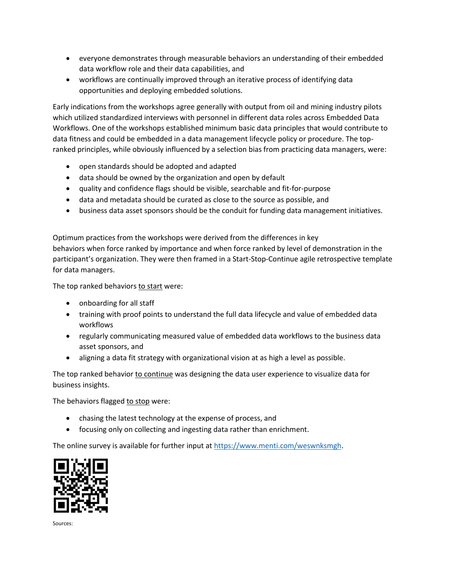- everyone demonstrates through measurable behaviors an understanding of their embedded data workflow role and their data capabilities, and
- workflows are continually improved through an iterative process of identifying data opportunities and deploying embedded solutions.

Early indications from the workshops agree generally with output from oil and mining industry pilots which utilized standardized interviews with personnel in different data roles across Embedded Data Workflows. One of the workshops established minimum basic data principles that would contribute to data fitness and could be embedded in a data management lifecycle policy or procedure. The topranked principles, while obviously influenced by a selection bias from practicing data managers, were:

- open standards should be adopted and adapted
- data should be owned by the organization and open by default
- quality and confidence flags should be visible, searchable and fit-for-purpose
- data and metadata should be curated as close to the source as possible, and
- business data asset sponsors should be the conduit for funding data management initiatives.

Optimum practices from the workshops were derived from the differences in key behaviors when force ranked by importance and when force ranked by level of demonstration in the participant's organization. They were then framed in a Start-Stop-Continue agile retrospective template for data managers.

The top ranked behaviors to start were:

- onboarding for all staff
- training with proof points to understand the full data lifecycle and value of embedded data workflows
- regularly communicating measured value of embedded data workflows to the business data asset sponsors, and
- aligning a data fit strategy with organizational vision at as high a level as possible.

The top ranked behavior to continue was designing the data user experience to visualize data for business insights.

The behaviors flagged to stop were:

- chasing the latest technology at the expense of process, and
- focusing only on collecting and ingesting data rather than enrichment.

The online survey is available for further input at [https://www.menti.com/weswnksmgh.](https://www.menti.com/weswnksmgh)



Sources: